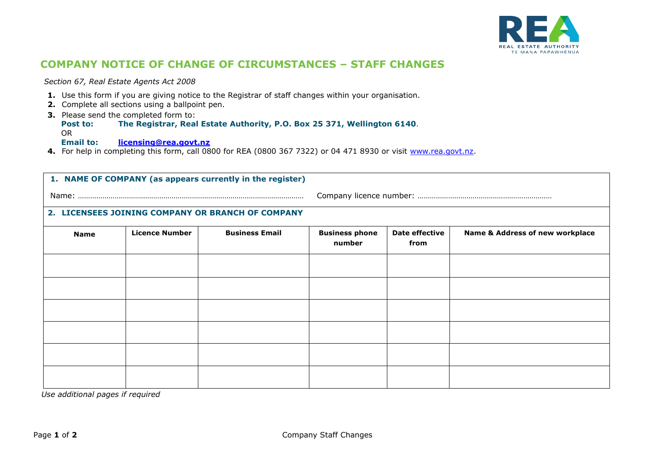

## **COMPANY NOTICE OF CHANGE OF CIRCUMSTANCES – STAFF CHANGES**

 *Section 67, Real Estate Agents Act 2008*

- **1.** Use this form if you are giving notice to the Registrar of staff changes within your organisation.
- **2.** Complete all sections using a ballpoint pen.
- **3.** Please send the completed form to:

**Post to: The Registrar, Real Estate Authority, P.O. Box 25 371, Wellington 6140**. OR

**Email to: [licensing@rea.govt.nz](mailto:licensing@rea.govt.nz)**

**4.** For help in completing this form, call 0800 for REA (0800 367 7322) or 04 471 8930 or visit [www.rea.govt.nz.](http://www.rea.govt.nz/)

| 1. NAME OF COMPANY (as appears currently in the register) |                       |                       |                                 |                        |                                 |  |  |
|-----------------------------------------------------------|-----------------------|-----------------------|---------------------------------|------------------------|---------------------------------|--|--|
|                                                           |                       |                       |                                 |                        |                                 |  |  |
| 2. LICENSEES JOINING COMPANY OR BRANCH OF COMPANY         |                       |                       |                                 |                        |                                 |  |  |
| <b>Name</b>                                               | <b>Licence Number</b> | <b>Business Email</b> | <b>Business phone</b><br>number | Date effective<br>from | Name & Address of new workplace |  |  |
|                                                           |                       |                       |                                 |                        |                                 |  |  |
|                                                           |                       |                       |                                 |                        |                                 |  |  |
|                                                           |                       |                       |                                 |                        |                                 |  |  |
|                                                           |                       |                       |                                 |                        |                                 |  |  |
|                                                           |                       |                       |                                 |                        |                                 |  |  |
|                                                           |                       |                       |                                 |                        |                                 |  |  |

 *Use additional pages if required*